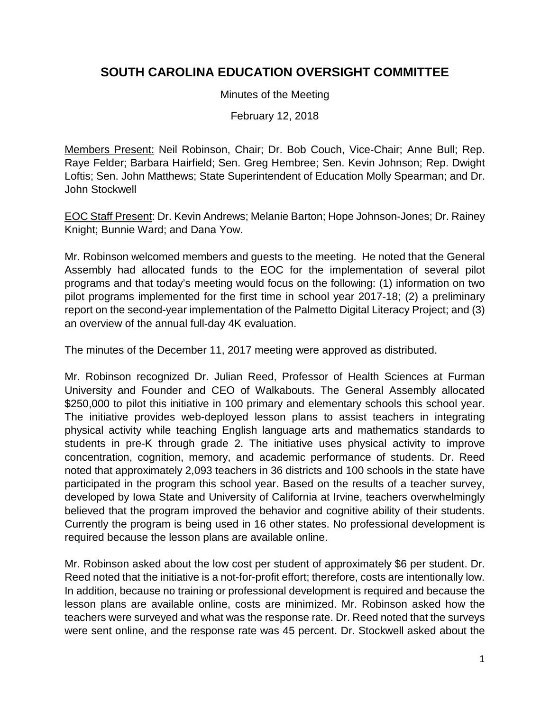## **SOUTH CAROLINA EDUCATION OVERSIGHT COMMITTEE**

Minutes of the Meeting

February 12, 2018

Members Present: Neil Robinson, Chair; Dr. Bob Couch, Vice-Chair; Anne Bull; Rep. Raye Felder; Barbara Hairfield; Sen. Greg Hembree; Sen. Kevin Johnson; Rep. Dwight Loftis; Sen. John Matthews; State Superintendent of Education Molly Spearman; and Dr. John Stockwell

EOC Staff Present: Dr. Kevin Andrews; Melanie Barton; Hope Johnson-Jones; Dr. Rainey Knight; Bunnie Ward; and Dana Yow.

Mr. Robinson welcomed members and guests to the meeting. He noted that the General Assembly had allocated funds to the EOC for the implementation of several pilot programs and that today's meeting would focus on the following: (1) information on two pilot programs implemented for the first time in school year 2017-18; (2) a preliminary report on the second-year implementation of the Palmetto Digital Literacy Project; and (3) an overview of the annual full-day 4K evaluation.

The minutes of the December 11, 2017 meeting were approved as distributed.

Mr. Robinson recognized Dr. Julian Reed, Professor of Health Sciences at Furman University and Founder and CEO of Walkabouts. The General Assembly allocated \$250,000 to pilot this initiative in 100 primary and elementary schools this school year. The initiative provides web-deployed lesson plans to assist teachers in integrating physical activity while teaching English language arts and mathematics standards to students in pre-K through grade 2. The initiative uses physical activity to improve concentration, cognition, memory, and academic performance of students. Dr. Reed noted that approximately 2,093 teachers in 36 districts and 100 schools in the state have participated in the program this school year. Based on the results of a teacher survey, developed by Iowa State and University of California at Irvine, teachers overwhelmingly believed that the program improved the behavior and cognitive ability of their students. Currently the program is being used in 16 other states. No professional development is required because the lesson plans are available online.

Mr. Robinson asked about the low cost per student of approximately \$6 per student. Dr. Reed noted that the initiative is a not-for-profit effort; therefore, costs are intentionally low. In addition, because no training or professional development is required and because the lesson plans are available online, costs are minimized. Mr. Robinson asked how the teachers were surveyed and what was the response rate. Dr. Reed noted that the surveys were sent online, and the response rate was 45 percent. Dr. Stockwell asked about the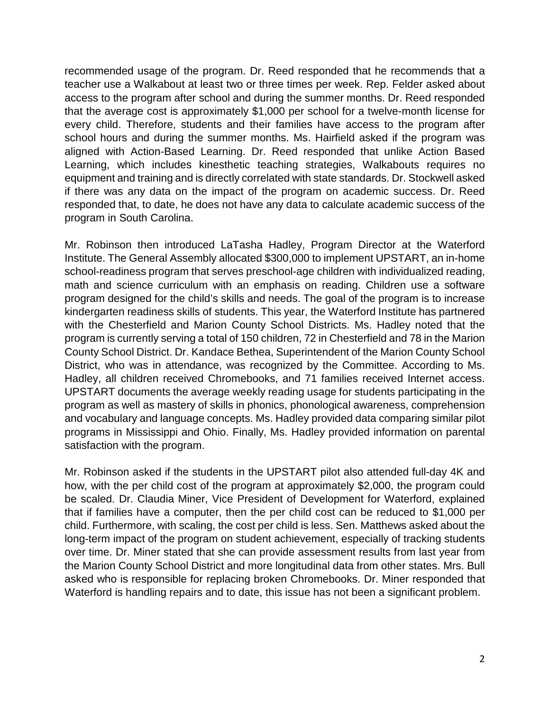recommended usage of the program. Dr. Reed responded that he recommends that a teacher use a Walkabout at least two or three times per week. Rep. Felder asked about access to the program after school and during the summer months. Dr. Reed responded that the average cost is approximately \$1,000 per school for a twelve-month license for every child. Therefore, students and their families have access to the program after school hours and during the summer months. Ms. Hairfield asked if the program was aligned with Action-Based Learning. Dr. Reed responded that unlike Action Based Learning, which includes kinesthetic teaching strategies, Walkabouts requires no equipment and training and is directly correlated with state standards. Dr. Stockwell asked if there was any data on the impact of the program on academic success. Dr. Reed responded that, to date, he does not have any data to calculate academic success of the program in South Carolina.

Mr. Robinson then introduced LaTasha Hadley, Program Director at the Waterford Institute. The General Assembly allocated \$300,000 to implement UPSTART, an in-home school-readiness program that serves preschool-age children with individualized reading, math and science curriculum with an emphasis on reading. Children use a software program designed for the child's skills and needs. The goal of the program is to increase kindergarten readiness skills of students. This year, the Waterford Institute has partnered with the Chesterfield and Marion County School Districts. Ms. Hadley noted that the program is currently serving a total of 150 children, 72 in Chesterfield and 78 in the Marion County School District. Dr. Kandace Bethea, Superintendent of the Marion County School District, who was in attendance, was recognized by the Committee. According to Ms. Hadley, all children received Chromebooks, and 71 families received Internet access. UPSTART documents the average weekly reading usage for students participating in the program as well as mastery of skills in phonics, phonological awareness, comprehension and vocabulary and language concepts. Ms. Hadley provided data comparing similar pilot programs in Mississippi and Ohio. Finally, Ms. Hadley provided information on parental satisfaction with the program.

Mr. Robinson asked if the students in the UPSTART pilot also attended full-day 4K and how, with the per child cost of the program at approximately \$2,000, the program could be scaled. Dr. Claudia Miner, Vice President of Development for Waterford, explained that if families have a computer, then the per child cost can be reduced to \$1,000 per child. Furthermore, with scaling, the cost per child is less. Sen. Matthews asked about the long-term impact of the program on student achievement, especially of tracking students over time. Dr. Miner stated that she can provide assessment results from last year from the Marion County School District and more longitudinal data from other states. Mrs. Bull asked who is responsible for replacing broken Chromebooks. Dr. Miner responded that Waterford is handling repairs and to date, this issue has not been a significant problem.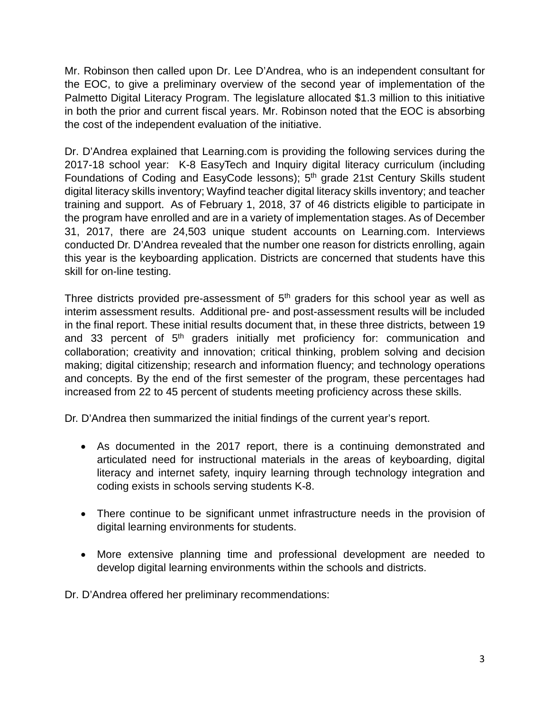Mr. Robinson then called upon Dr. Lee D'Andrea, who is an independent consultant for the EOC, to give a preliminary overview of the second year of implementation of the Palmetto Digital Literacy Program. The legislature allocated \$1.3 million to this initiative in both the prior and current fiscal years. Mr. Robinson noted that the EOC is absorbing the cost of the independent evaluation of the initiative.

Dr. D'Andrea explained that Learning.com is providing the following services during the 2017-18 school year: K-8 EasyTech and Inquiry digital literacy curriculum (including Foundations of Coding and EasyCode lessons); 5<sup>th</sup> grade 21st Century Skills student digital literacy skills inventory; Wayfind teacher digital literacy skills inventory; and teacher training and support. As of February 1, 2018, 37 of 46 districts eligible to participate in the program have enrolled and are in a variety of implementation stages. As of December 31, 2017, there are 24,503 unique student accounts on Learning.com. Interviews conducted Dr. D'Andrea revealed that the number one reason for districts enrolling, again this year is the keyboarding application. Districts are concerned that students have this skill for on-line testing.

Three districts provided pre-assessment of  $5<sup>th</sup>$  graders for this school year as well as interim assessment results. Additional pre- and post-assessment results will be included in the final report. These initial results document that, in these three districts, between 19 and 33 percent of 5<sup>th</sup> graders initially met proficiency for: communication and collaboration; creativity and innovation; critical thinking, problem solving and decision making; digital citizenship; research and information fluency; and technology operations and concepts. By the end of the first semester of the program, these percentages had increased from 22 to 45 percent of students meeting proficiency across these skills.

Dr. D'Andrea then summarized the initial findings of the current year's report.

- As documented in the 2017 report, there is a continuing demonstrated and articulated need for instructional materials in the areas of keyboarding, digital literacy and internet safety, inquiry learning through technology integration and coding exists in schools serving students K-8.
- There continue to be significant unmet infrastructure needs in the provision of digital learning environments for students.
- More extensive planning time and professional development are needed to develop digital learning environments within the schools and districts.

Dr. D'Andrea offered her preliminary recommendations: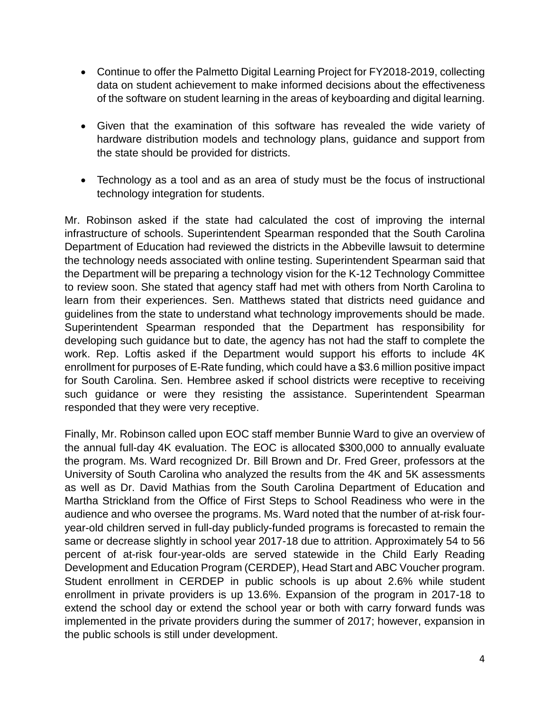- Continue to offer the Palmetto Digital Learning Project for FY2018-2019, collecting data on student achievement to make informed decisions about the effectiveness of the software on student learning in the areas of keyboarding and digital learning.
- Given that the examination of this software has revealed the wide variety of hardware distribution models and technology plans, guidance and support from the state should be provided for districts.
- Technology as a tool and as an area of study must be the focus of instructional technology integration for students.

Mr. Robinson asked if the state had calculated the cost of improving the internal infrastructure of schools. Superintendent Spearman responded that the South Carolina Department of Education had reviewed the districts in the Abbeville lawsuit to determine the technology needs associated with online testing. Superintendent Spearman said that the Department will be preparing a technology vision for the K-12 Technology Committee to review soon. She stated that agency staff had met with others from North Carolina to learn from their experiences. Sen. Matthews stated that districts need guidance and guidelines from the state to understand what technology improvements should be made. Superintendent Spearman responded that the Department has responsibility for developing such guidance but to date, the agency has not had the staff to complete the work. Rep. Loftis asked if the Department would support his efforts to include 4K enrollment for purposes of E-Rate funding, which could have a \$3.6 million positive impact for South Carolina. Sen. Hembree asked if school districts were receptive to receiving such guidance or were they resisting the assistance. Superintendent Spearman responded that they were very receptive.

Finally, Mr. Robinson called upon EOC staff member Bunnie Ward to give an overview of the annual full-day 4K evaluation. The EOC is allocated \$300,000 to annually evaluate the program. Ms. Ward recognized Dr. Bill Brown and Dr. Fred Greer, professors at the University of South Carolina who analyzed the results from the 4K and 5K assessments as well as Dr. David Mathias from the South Carolina Department of Education and Martha Strickland from the Office of First Steps to School Readiness who were in the audience and who oversee the programs. Ms. Ward noted that the number of at-risk fouryear-old children served in full-day publicly-funded programs is forecasted to remain the same or decrease slightly in school year 2017-18 due to attrition. Approximately 54 to 56 percent of at-risk four-year-olds are served statewide in the Child Early Reading Development and Education Program (CERDEP), Head Start and ABC Voucher program. Student enrollment in CERDEP in public schools is up about 2.6% while student enrollment in private providers is up 13.6%. Expansion of the program in 2017-18 to extend the school day or extend the school year or both with carry forward funds was implemented in the private providers during the summer of 2017; however, expansion in the public schools is still under development.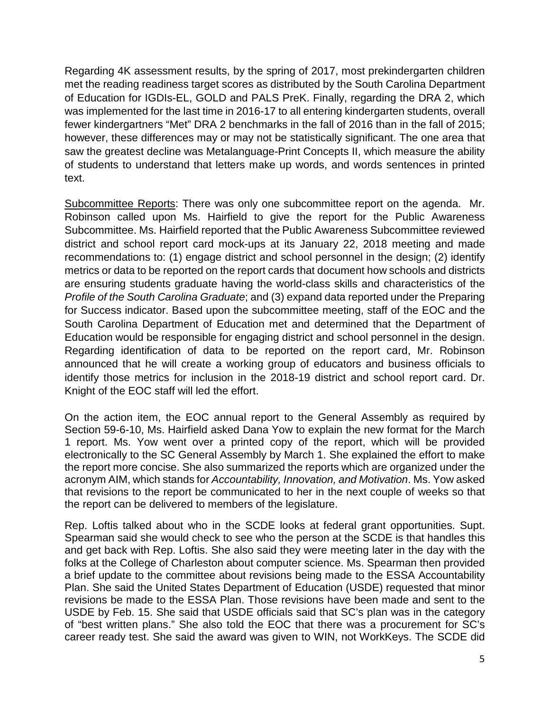Regarding 4K assessment results, by the spring of 2017, most prekindergarten children met the reading readiness target scores as distributed by the South Carolina Department of Education for IGDIs-EL, GOLD and PALS PreK. Finally, regarding the DRA 2, which was implemented for the last time in 2016-17 to all entering kindergarten students, overall fewer kindergartners "Met" DRA 2 benchmarks in the fall of 2016 than in the fall of 2015; however, these differences may or may not be statistically significant. The one area that saw the greatest decline was Metalanguage-Print Concepts II, which measure the ability of students to understand that letters make up words, and words sentences in printed text.

Subcommittee Reports: There was only one subcommittee report on the agenda. Mr. Robinson called upon Ms. Hairfield to give the report for the Public Awareness Subcommittee. Ms. Hairfield reported that the Public Awareness Subcommittee reviewed district and school report card mock-ups at its January 22, 2018 meeting and made recommendations to: (1) engage district and school personnel in the design; (2) identify metrics or data to be reported on the report cards that document how schools and districts are ensuring students graduate having the world-class skills and characteristics of the *Profile of the South Carolina Graduate*; and (3) expand data reported under the Preparing for Success indicator. Based upon the subcommittee meeting, staff of the EOC and the South Carolina Department of Education met and determined that the Department of Education would be responsible for engaging district and school personnel in the design. Regarding identification of data to be reported on the report card, Mr. Robinson announced that he will create a working group of educators and business officials to identify those metrics for inclusion in the 2018-19 district and school report card. Dr. Knight of the EOC staff will led the effort.

On the action item, the EOC annual report to the General Assembly as required by Section 59-6-10, Ms. Hairfield asked Dana Yow to explain the new format for the March 1 report. Ms. Yow went over a printed copy of the report, which will be provided electronically to the SC General Assembly by March 1. She explained the effort to make the report more concise. She also summarized the reports which are organized under the acronym AIM, which stands for *Accountability, Innovation, and Motivation*. Ms. Yow asked that revisions to the report be communicated to her in the next couple of weeks so that the report can be delivered to members of the legislature.

Rep. Loftis talked about who in the SCDE looks at federal grant opportunities. Supt. Spearman said she would check to see who the person at the SCDE is that handles this and get back with Rep. Loftis. She also said they were meeting later in the day with the folks at the College of Charleston about computer science. Ms. Spearman then provided a brief update to the committee about revisions being made to the ESSA Accountability Plan. She said the United States Department of Education (USDE) requested that minor revisions be made to the ESSA Plan. Those revisions have been made and sent to the USDE by Feb. 15. She said that USDE officials said that SC's plan was in the category of "best written plans." She also told the EOC that there was a procurement for SC's career ready test. She said the award was given to WIN, not WorkKeys. The SCDE did